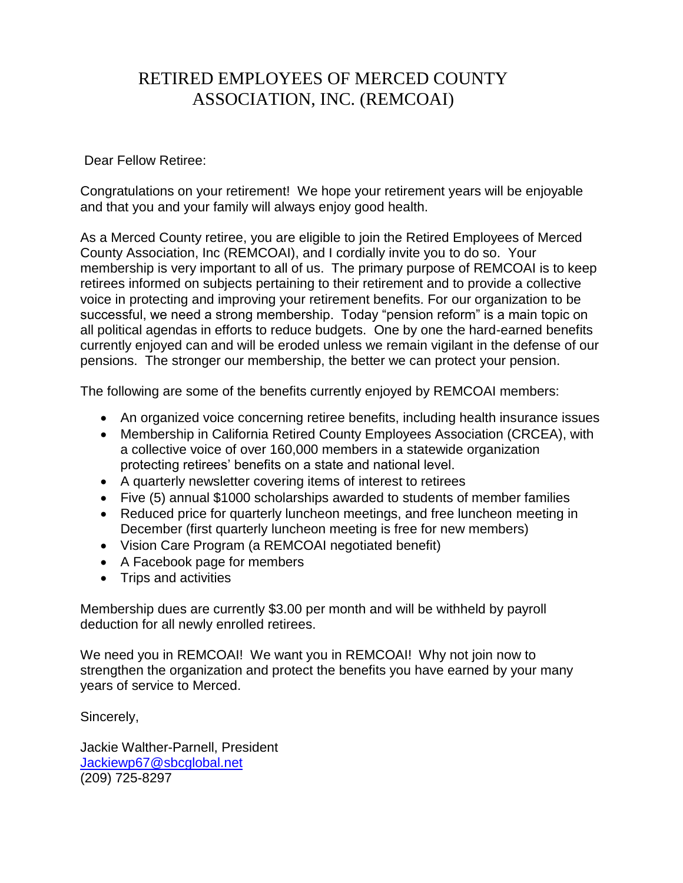## RETIRED EMPLOYEES OF MERCED COUNTY ASSOCIATION, INC. (REMCOAI)

## Dear Fellow Retiree:

Congratulations on your retirement! We hope your retirement years will be enjoyable and that you and your family will always enjoy good health.

As a Merced County retiree, you are eligible to join the Retired Employees of Merced County Association, Inc (REMCOAI), and I cordially invite you to do so. Your membership is very important to all of us. The primary purpose of REMCOAI is to keep retirees informed on subjects pertaining to their retirement and to provide a collective voice in protecting and improving your retirement benefits. For our organization to be successful, we need a strong membership. Today "pension reform" is a main topic on all political agendas in efforts to reduce budgets. One by one the hard-earned benefits currently enjoyed can and will be eroded unless we remain vigilant in the defense of our pensions. The stronger our membership, the better we can protect your pension.

The following are some of the benefits currently enjoyed by REMCOAI members:

- An organized voice concerning retiree benefits, including health insurance issues
- Membership in California Retired County Employees Association (CRCEA), with a collective voice of over 160,000 members in a statewide organization protecting retirees' benefits on a state and national level.
- A quarterly newsletter covering items of interest to retirees
- Five (5) annual \$1000 scholarships awarded to students of member families
- Reduced price for quarterly luncheon meetings, and free luncheon meeting in December (first quarterly luncheon meeting is free for new members)
- Vision Care Program (a REMCOAI negotiated benefit)
- A Facebook page for members
- Trips and activities

Membership dues are currently \$3.00 per month and will be withheld by payroll deduction for all newly enrolled retirees.

We need you in REMCOAI! We want you in REMCOAI! Why not join now to strengthen the organization and protect the benefits you have earned by your many years of service to Merced.

Sincerely,

Jackie Walther-Parnell, President [Jackiewp67@sbcglobal.net](mailto:Jackiewp67@sbcglobal.net) (209) 725-8297